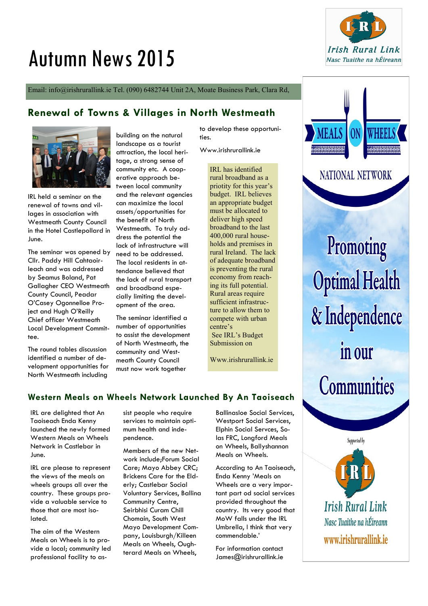# Autumn News 2015



Email: info@irishrurallink.ie Tel. (090) 6482744 Unit 2A, Moate Business Park, Clara Rd,

## **Renewal of Towns & Villages in North Westmeath**



IRL held a seminar on the renewal of towns and villages in association with Westmeath County Council in the Hotel Castlepollard in June.

The seminar was opened by Cllr. Paddy Hill Cahtaoirleach and was addressed by Seamus Boland, Pat Gallagher CEO Westmeath County Council, Peadar O'Casey Ogonnelloe Project and Hugh O'Reilly Chief officer Westmeath Local Development Committee.

The round tables discussion identified a number of development opportunities for North Westmeath including

building on the natural landscape as a tourist attraction, the local heritage, a strong sense of community etc. A cooperative approach between local community and the relevant agencies can maximize the local assets/opportunities for the benefit of North Westmeath. To truly address the potential the lack of infrastructure will need to be addressed. The local residents in attendance believed that the lack of rural transport and broadband especially limiting the development of the area.

The seminar identified a number of opportunities to assist the development of North Westmeath, the community and Westmeath County Council must now work together

to develop these opportunities.

Www.irishrurallink.ie

IRL has identified rural broadband as a priotity for this year's budget. IRL believes an appropriate budget must be allocated to deliver high speed broadband to the last 400,000 rural households and premises in rural Ireland. The lack of adequate broadband is preventing the rural economy from reaching its full potential. Rural areas require sufficient infrastructure to allow them to compete with urban centre's See IRL's Budget Submission on

Www.irishrurallink.ie

# **Western Meals on Wheels Network Launched By An Taoiseach**

IRL are delighted that An Taoiseach Enda Kenny launched the newly formed Western Meals on Wheels Network in Castlebar in June.

IRL are please to represent the views of the meals on wheels groups all over the country. These groups provide a valuable service to those that are most isolated.

The aim of the Western Meals on Wheels is to provide a local; community led professional facility to assist people who require services to maintain optimum health and independence.

Members of the new Network include;Forum Social Care; Mayo Abbey CRC; Brickens Care for the Elderly; Castlebar Social Voluntary Services, Ballina Community Centre, Seirbhisi Curam Chill Chomain, South West Mayo Development Company, Louisburgh/Killeen Meals on Wheels, Oughterard Meals on Wheels,

Ballinasloe Social Services, Westport Social Services, Elphin Social Servces, Solas FRC, Longford Meals on Wheels, Ballyshannon Meals on Wheels.

According to An Taoiseach, Enda Kenny 'Meals on Wheels are a very important part od social services provided throughout the country. Its very good that MoW falls under the IRL Umbrella, I think that very commendable.'

For information contact James@irishrurallink.ie



**NATIONAL NETWORK** 

Promoting **Optimal Health** & Independence in our **Communities** 

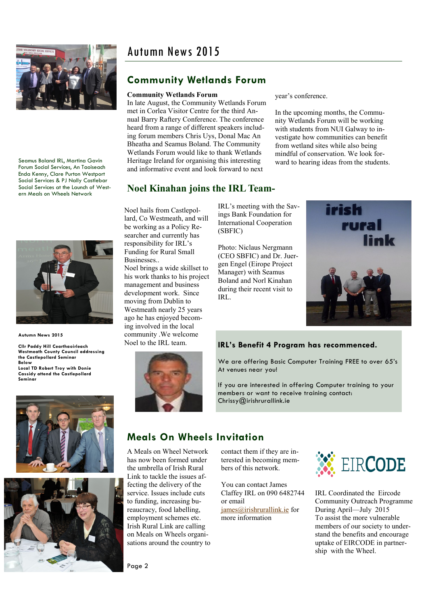

Seamus Boland IRL, Martina Gavin Forum Social Services, An Taoiseach Enda Kenny, Clare Purton Westport Social Services & PJ Nally Castlebar Social Services at the Launch of Western Meals on Wheels Network



**Autumn News 2015**

**Cllr Paddy Hill Cearthaoirleach Westmeath County Council addressing the Castlepollard Seminar Below Local TD Robert Troy with Donie Cassidy attend the Castlepollard Seminar**





# **Community Wetlands Forum**

#### **Community Wetlands Forum**

In late August, the Community Wetlands Forum met in Corlea Visitor Centre for the third Annual Barry Raftery Conference. The conference heard from a range of different speakers including forum members Chris Uys, Donal Mac An Bheatha and Seamus Boland. The Community Wetlands Forum would like to thank Wetlands Heritage Ireland for organising this interesting and informative event and look forward to next

year's conference.

In the upcoming months, the Community Wetlands Forum will be working with students from NUI Galway to investigate how communities can benefit from wetland sites while also being mindful of conservation. We look forward to hearing ideas from the students.

## **Noel Kinahan joins the IRL Team-**

Noel hails from Castlepollard, Co Westmeath, and will be working as a Policy Researcher and currently has responsibility for IRL's Funding for Rural Small Businesses.. Noel brings a wide skillset to his work thanks to his project management and business development work. Since moving from Dublin to Westmeath nearly 25 years ago he has enjoyed becoming involved in the local community .We welcome Noel to the IRL team.

IRL's meeting with the Savings Bank Foundation for International Cooperation (SBFIC)

Photo: Niclaus Nergmann (CEO SBFIC) and Dr. Juergen Engel (Eirope Project Manager) with Seamus Boland and Norl Kinahan during their recent visit to IRL.



#### **IRL's Benefit 4 Program has recommenced.**

We are offering Basic Computer Training FREE to over 65's At venues near you!

If you are interested in offering Computer training to your members or want to receive training contact: Chrissy@irishrurallink.ie

# **Meals On Wheels Invitation**

A Meals on Wheel Network has now been formed under the umbrella of Irish Rural Link to tackle the issues affecting the delivery of the service. Issues include cuts to funding, increasing bureaucracy, food labelling, employment schemes etc. Irish Rural Link are calling on Meals on Wheels organisations around the country to contact them if they are interested in becoming members of this network.

You can contact James Claffey IRL on 090 6482744 or email

[james@irishrurallink.ie](mailto:james@irishrurallink.ie) for more information



IRL Coordinated the Eircode Community Outreach Programme During April—July 2015 To assist the more vulnerable members of our society to understand the benefits and encourage uptake of EIRCODE in partnership with the Wheel.

Page 2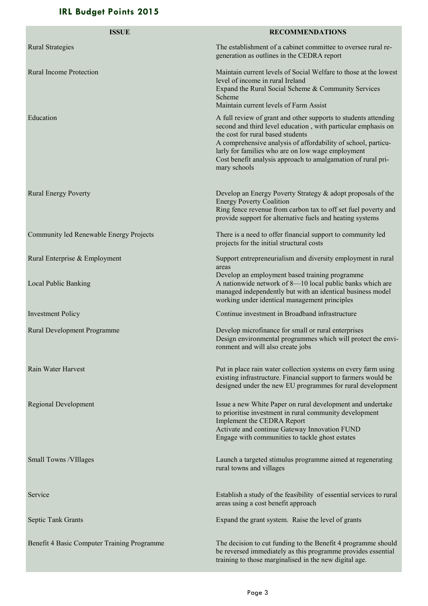# **IRL Budget Points 2015**

| <b>ISSUE</b>                                | <b>RECOMMENDATIONS</b>                                                                                                                                                                                                                                                                                                                                                      |
|---------------------------------------------|-----------------------------------------------------------------------------------------------------------------------------------------------------------------------------------------------------------------------------------------------------------------------------------------------------------------------------------------------------------------------------|
| <b>Rural Strategies</b>                     | The establishment of a cabinet committee to oversee rural re-<br>generation as outlines in the CEDRA report                                                                                                                                                                                                                                                                 |
| <b>Rural Income Protection</b>              | Maintain current levels of Social Welfare to those at the lowest<br>level of income in rural Ireland<br>Expand the Rural Social Scheme & Community Services<br>Scheme<br>Maintain current levels of Farm Assist                                                                                                                                                             |
| Education                                   | A full review of grant and other supports to students attending<br>second and third level education, with particular emphasis on<br>the cost for rural based students<br>A comprehensive analysis of affordability of school, particu-<br>larly for families who are on low wage employment<br>Cost benefit analysis approach to amalgamation of rural pri-<br>mary schools |
| <b>Rural Energy Poverty</b>                 | Develop an Energy Poverty Strategy & adopt proposals of the<br><b>Energy Poverty Coalition</b><br>Ring fence revenue from carbon tax to off set fuel poverty and<br>provide support for alternative fuels and heating systems                                                                                                                                               |
| Community led Renewable Energy Projects     | There is a need to offer financial support to community led<br>projects for the initial structural costs                                                                                                                                                                                                                                                                    |
| Rural Enterprise & Employment               | Support entrepreneurialism and diversity employment in rural<br>areas                                                                                                                                                                                                                                                                                                       |
| Local Public Banking                        | Develop an employment based training programme<br>A nationwide network of 8-10 local public banks which are<br>managed independently but with an identical business model<br>working under identical management principles                                                                                                                                                  |
| <b>Investment Policy</b>                    | Continue investment in Broadband infrastructure                                                                                                                                                                                                                                                                                                                             |
| Rural Development Programme                 | Develop microfinance for small or rural enterprises<br>Design environmental programmes which will protect the envi-<br>ronment and will also create jobs                                                                                                                                                                                                                    |
| Rain Water Harvest                          | Put in place rain water collection systems on every farm using<br>existing infrastructure. Financial support to farmers would be<br>designed under the new EU programmes for rural development                                                                                                                                                                              |
| <b>Regional Development</b>                 | Issue a new White Paper on rural development and undertake<br>to prioritise investment in rural community development<br>Implement the CEDRA Report<br>Activate and continue Gateway Innovation FUND<br>Engage with communities to tackle ghost estates                                                                                                                     |
| Small Towns / VIIIages                      | Launch a targeted stimulus programme aimed at regenerating<br>rural towns and villages                                                                                                                                                                                                                                                                                      |
| Service                                     | Establish a study of the feasibility of essential services to rural<br>areas using a cost benefit approach                                                                                                                                                                                                                                                                  |
| Septic Tank Grants                          | Expand the grant system. Raise the level of grants                                                                                                                                                                                                                                                                                                                          |
| Benefit 4 Basic Computer Training Programme | The decision to cut funding to the Benefit 4 programme should<br>be reversed immediately as this programme provides essential<br>training to those marginalised in the new digital age.                                                                                                                                                                                     |